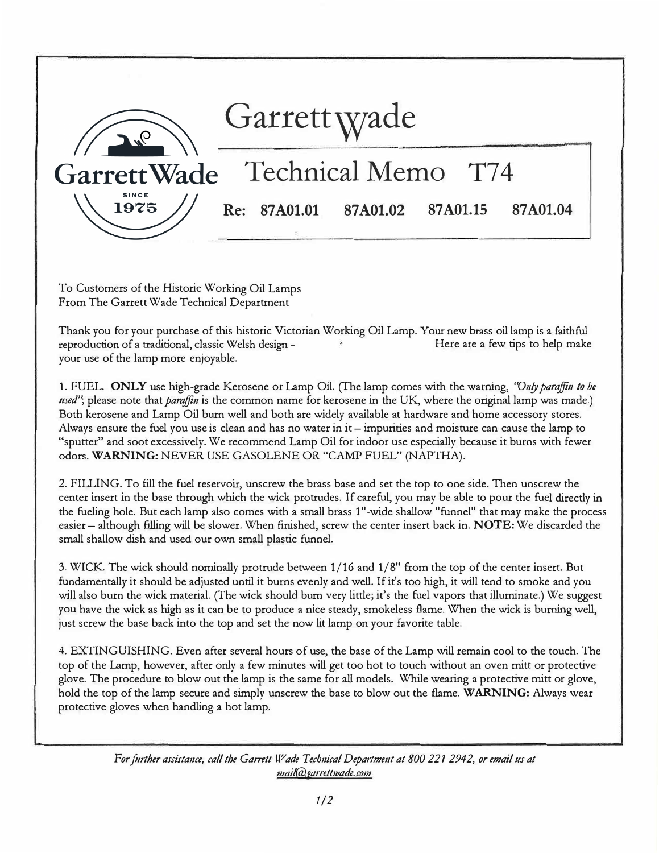

To Customers of the Historic Working Oil Lamps From The Garrett Wade Technical Department

Thank you for your purchase of this historic Victorian Working Oil Lamp. Your new brass oil lamp is a faithful reproduction of a traditional, classic Welsh design - The Manuscull Here are a few tips to help make your use of the lamp more enjoyable.

1. FUEL. **ONLY** use high-grade Kerosene or Lamp Oil. (fhe lamp comes with the warning, *''011!, paraifi11 to be used"*; please note that *paraffin* is the common name for kerosene in the UK, where the original lamp was made.) Both kerosene and Lamp Oil burn well and both are widely available at hardware and home accessory stores. Always ensure the fuel you use is clean and has no water in it – impurities and moisture can cause the lamp to "sputter" and soot excessively. We recommend Lamp Oil for indoor use especially because it burns with fewer odors. **WARNING:** NEVER USE GASOLENE OR "CAMP FUEL" (NAPTHA).

2. FILLING. To fill the fuel reservoir, unscrew the brass base and set the top to one side. Then unscrew the center insert in the base through which the wick protrudes. If careful, you may be able to pour the fuel directly in the fueling hole. But each lamp also comes with a small brass 1"-wide shallow "funnel" that may make the process easier – although filling will be slower. When finished, screw the center insert back in. **NOTE:** We discarded the small shallow dish and used our own small plastic funnel.

3. WICK The wick should nominally protrude between 1/16 and 1/8" from the top of the center insert But fundamentally it should be adjusted until it burns evenly and well. If it's too high, it will tend to smoke and you will also burn the wick material. (The wick should burn very little; it's the fuel vapors that illuminate.) We suggest you have the wick as high as it can be to produce a nice steady, smokeless flame. \Vhen the wick is burning well, just screw the base back into the top and set the now lit lamp on your favorite table.

4. EXTINGUISHING. Even after several hours of use, the base of the Lamp will remain cool to the touch. The top of the Lamp, however, after only a few minutes will get too hot to touch without an oven mitt or protective glove. The procedure to blow out the lamp is the same for all models. While wearing a protective mitt or glove, hold the top of the lamp secure and simply unscrew the base to blow out the flame. **WARNING:** Always wear protective gloves when handling a hot lamp.

*For ft1rther assistance, call the Garrett Wade Technical Departmmt at 800 221 2942, or email 11s at 111ail@garrettwade.com*